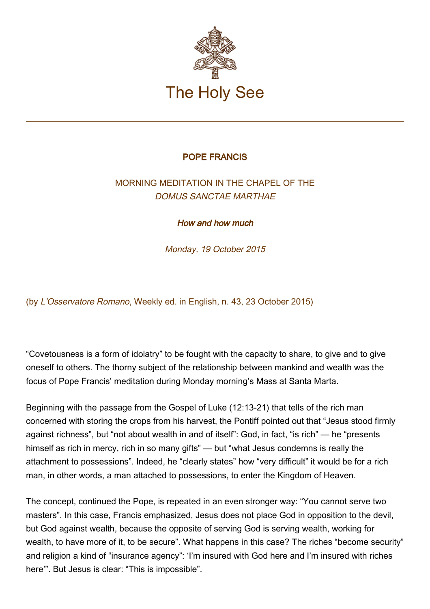

## POPE FRANCIS

## MORNING MEDITATION IN THE CHAPEL OF THE DOMUS SANCTAE MARTHAE

How and how much

Monday, 19 October 2015

(by L'Osservatore Romano, Weekly ed. in English, n. 43, 23 October 2015)

"Covetousness is a form of idolatry" to be fought with the capacity to share, to give and to give oneself to others. The thorny subject of the relationship between mankind and wealth was the focus of Pope Francis' meditation during Monday morning's Mass at Santa Marta.

Beginning with the passage from the Gospel of Luke (12:13-21) that tells of the rich man concerned with storing the crops from his harvest, the Pontiff pointed out that "Jesus stood firmly against richness", but "not about wealth in and of itself": God, in fact, "is rich" — he "presents himself as rich in mercy, rich in so many gifts" — but "what Jesus condemns is really the attachment to possessions". Indeed, he "clearly states" how "very difficult" it would be for a rich man, in other words, a man attached to possessions, to enter the Kingdom of Heaven.

The concept, continued the Pope, is repeated in an even stronger way: "You cannot serve two masters". In this case, Francis emphasized, Jesus does not place God in opposition to the devil, but God against wealth, because the opposite of serving God is serving wealth, working for wealth, to have more of it, to be secure". What happens in this case? The riches "become security" and religion a kind of "insurance agency": 'I'm insured with God here and I'm insured with riches here'". But Jesus is clear: "This is impossible".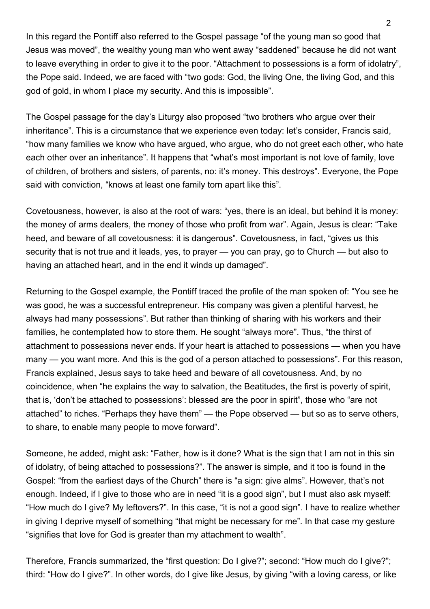In this regard the Pontiff also referred to the Gospel passage "of the young man so good that Jesus was moved", the wealthy young man who went away "saddened" because he did not want to leave everything in order to give it to the poor. "Attachment to possessions is a form of idolatry", the Pope said. Indeed, we are faced with "two gods: God, the living One, the living God, and this god of gold, in whom I place my security. And this is impossible".

The Gospel passage for the day's Liturgy also proposed "two brothers who argue over their inheritance". This is a circumstance that we experience even today: let's consider, Francis said, "how many families we know who have argued, who argue, who do not greet each other, who hate each other over an inheritance". It happens that "what's most important is not love of family, love of children, of brothers and sisters, of parents, no: it's money. This destroys". Everyone, the Pope said with conviction, "knows at least one family torn apart like this".

Covetousness, however, is also at the root of wars: "yes, there is an ideal, but behind it is money: the money of arms dealers, the money of those who profit from war". Again, Jesus is clear: "Take heed, and beware of all covetousness: it is dangerous". Covetousness, in fact, "gives us this security that is not true and it leads, yes, to prayer — you can pray, go to Church — but also to having an attached heart, and in the end it winds up damaged".

Returning to the Gospel example, the Pontiff traced the profile of the man spoken of: "You see he was good, he was a successful entrepreneur. His company was given a plentiful harvest, he always had many possessions". But rather than thinking of sharing with his workers and their families, he contemplated how to store them. He sought "always more". Thus, "the thirst of attachment to possessions never ends. If your heart is attached to possessions — when you have many — you want more. And this is the god of a person attached to possessions". For this reason, Francis explained, Jesus says to take heed and beware of all covetousness. And, by no coincidence, when "he explains the way to salvation, the Beatitudes, the first is poverty of spirit, that is, 'don't be attached to possessions': blessed are the poor in spirit", those who "are not attached" to riches. "Perhaps they have them" — the Pope observed — but so as to serve others, to share, to enable many people to move forward".

Someone, he added, might ask: "Father, how is it done? What is the sign that I am not in this sin of idolatry, of being attached to possessions?". The answer is simple, and it too is found in the Gospel: "from the earliest days of the Church" there is "a sign: give alms". However, that's not enough. Indeed, if I give to those who are in need "it is a good sign", but I must also ask myself: "How much do I give? My leftovers?". In this case, "it is not a good sign". I have to realize whether in giving I deprive myself of something "that might be necessary for me". In that case my gesture "signifies that love for God is greater than my attachment to wealth".

Therefore, Francis summarized, the "first question: Do I give?"; second: "How much do I give?"; third: "How do I give?". In other words, do I give like Jesus, by giving "with a loving caress, or like